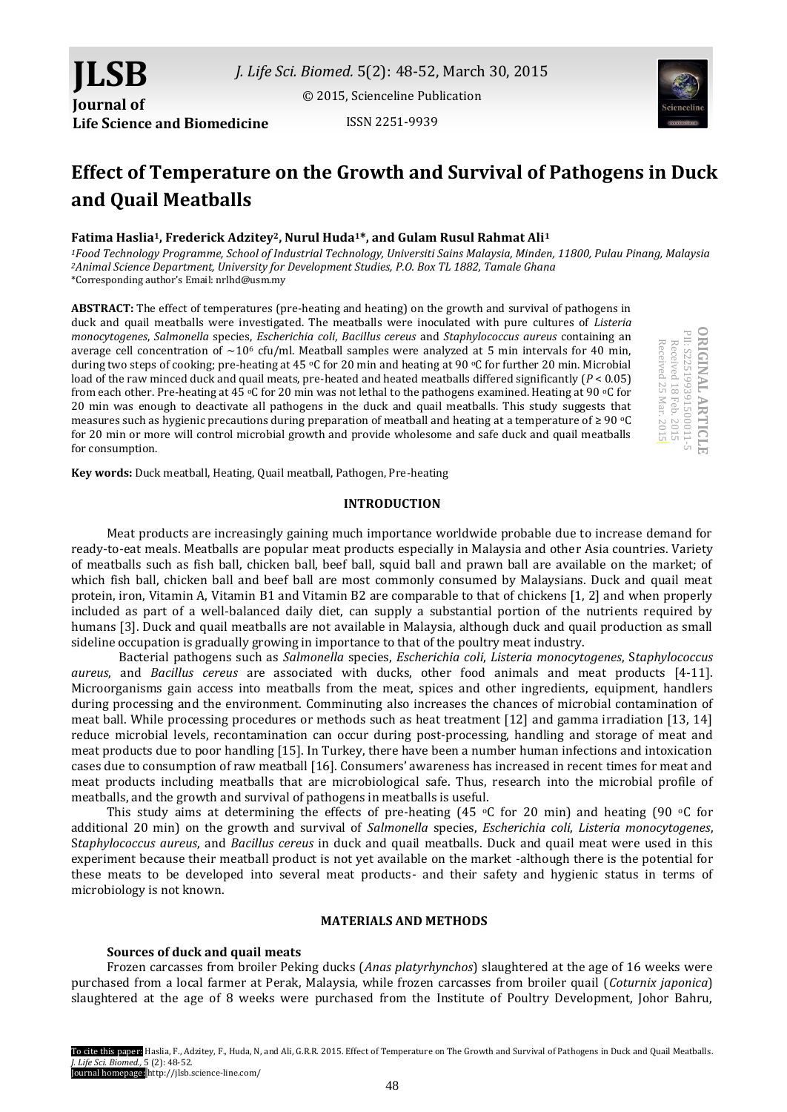[© 2015, Scienceline Publication](http://www.science-line.com/index/)

ISSN 2251-9939



# **Effect of Temperature on the Growth and Survival of Pathogens in Duck and Quail Meatballs**

# **Fatima Haslia1, Frederick Adzitey2, Nurul Huda1\*, and Gulam Rusul Rahmat Ali<sup>1</sup>**

*<sup>1</sup>Food Technology Programme, School of Industrial Technology, Universiti Sains Malaysia, Minden, 11800, Pulau Pinang, Malaysia <sup>2</sup>Animal Science Department, University for Development Studies, P.O. Box TL 1882, Tamale Ghana* \*Corresponding author's Email: nrlhd@usm.my

**ABSTRACT:** The effect of temperatures (pre-heating and heating) on the growth and survival of pathogens in duck and quail meatballs were investigated. The meatballs were inoculated with pure cultures of *Listeria monocytogenes*, *Salmonella* species, *Escherichia coli*, *Bacillus cereus* and *Staphylococcus aureus* containing an average cell concentration of  $\sim$ 10<sup>6</sup> cfu/ml. Meatball samples were analyzed at 5 min intervals for 40 min, during two steps of cooking; pre-heating at 45 °C for 20 min and heating at 90 °C for further 20 min. Microbial load of the raw minced duck and quail meats, pre-heated and heated meatballs differed significantly (*P* < 0.05) from each other. Pre-heating at 45  $\degree$ C for 20 min was not lethal to the pathogens examined. Heating at 90  $\degree$ C for 20 min was enough to deactivate all pathogens in the duck and quail meatballs. This study suggests that measures such as hygienic precautions during preparation of meatball and heating at a temperature of ≥ 90 oC for 20 min or more will control microbial growth and provide wholesome and safe duck and quail meatballs for consumption.

**ORIGINAL ARTICLE** PII: S225199391500011-5<br>Received 18 Feb. 2015<br>Received 18 Feb. 2015 **ORIGINAL ARTICL** PII: S225199391 Received 25 Mar. 2015 Received 25 Mar. 2015 Received 18 Feb. 2015 500011-5

**Key words:** Duck meatball, Heating, Quail meatball, Pathogen, Pre-heating

**JLSB**

**Journal of** 

**Life Science and Biomedicine**

## **INTRODUCTION**

Meat products are increasingly gaining much importance worldwide probable due to increase demand for ready-to-eat meals. Meatballs are popular meat products especially in Malaysia and other Asia countries. Variety of meatballs such as fish ball, chicken ball, beef ball, squid ball and prawn ball are available on the market; of which fish ball, chicken ball and beef ball are most commonly consumed by Malaysians. Duck and quail meat protein, iron, Vitamin A, Vitamin B1 and Vitamin B2 are comparable to that of chickens [1, 2] and when properly included as part of a well-balanced daily diet, can supply a substantial portion of the nutrients required by humans [3]. Duck and quail meatballs are not available in Malaysia, although duck and quail production as small sideline occupation is gradually growing in importance to that of the poultry meat industry.

Bacterial pathogens such as *Salmonella* species, *Escherichia coli*, *Listeria monocytogenes*, S*taphylococcus aureus*, and *Bacillus cereus* are associated with ducks, other food animals and meat products [4-11]. Microorganisms gain access into meatballs from the meat, spices and other ingredients, equipment, handlers during processing and the environment. Comminuting also increases the chances of microbial contamination of meat ball. While processing procedures or methods such as heat treatment [12] and gamma irradiation [13, 14] reduce microbial levels, recontamination can occur during post-processing, handling and storage of meat and meat products due to poor handling [15]. In Turkey, there have been a number human infections and intoxication cases due to consumption of raw meatball [16]. Consumers' awareness has increased in recent times for meat and meat products including meatballs that are microbiological safe. Thus, research into the microbial profile of meatballs, and the growth and survival of pathogens in meatballs is useful.

This study aims at determining the effects of pre-heating (45  $\circ$ C for 20 min) and heating (90  $\circ$ C for additional 20 min) on the growth and survival of *Salmonella* species, *Escherichia coli*, *Listeria monocytogenes*, S*taphylococcus aureus*, and *Bacillus cereus* in duck and quail meatballs. Duck and quail meat were used in this experiment because their meatball product is not yet available on the market -although there is the potential for these meats to be developed into several meat products- and their safety and hygienic status in terms of microbiology is not known.

## **MATERIALS AND METHODS**

#### **Sources of duck and quail meats**

Frozen carcasses from broiler Peking ducks (*Anas platyrhynchos*) slaughtered at the age of 16 weeks were purchased from a local farmer at Perak, Malaysia, while frozen carcasses from broiler quail (*Coturnix japonica*) slaughtered at the age of 8 weeks were purchased from the Institute of Poultry Development, Johor Bahru,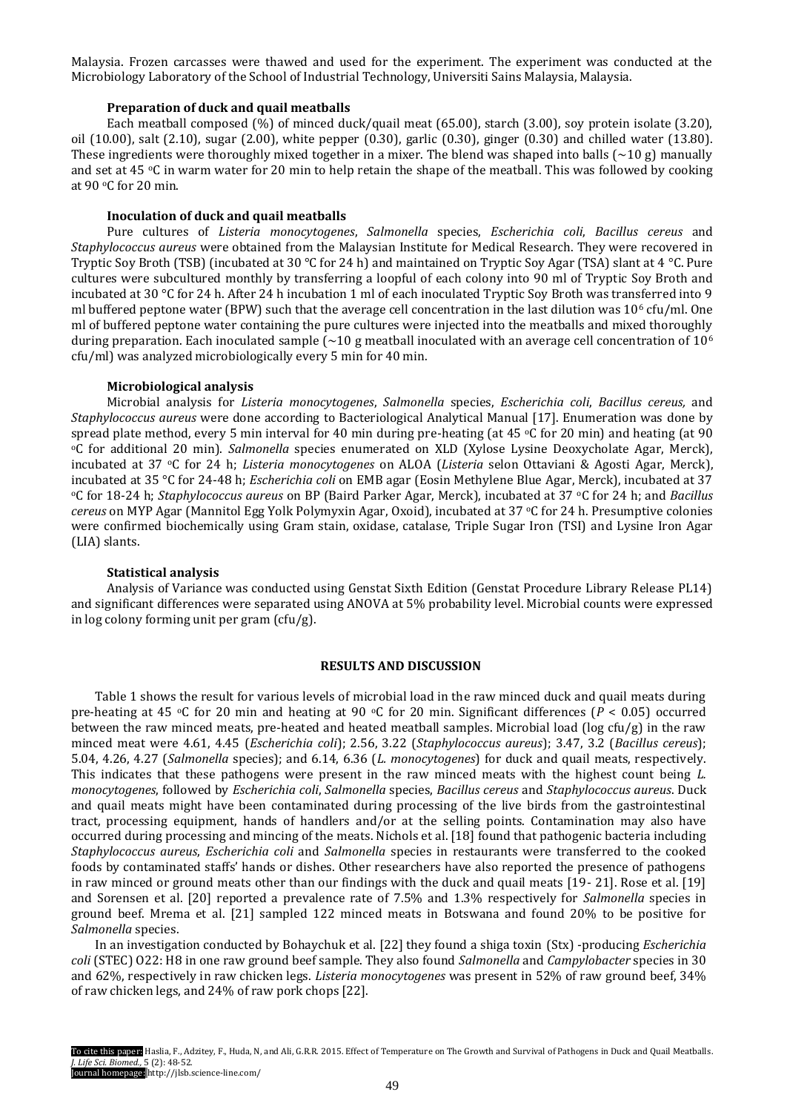Malaysia. Frozen carcasses were thawed and used for the experiment. The experiment was conducted at the Microbiology Laboratory of the School of Industrial Technology, Universiti Sains Malaysia, Malaysia.

#### **Preparation of duck and quail meatballs**

Each meatball composed (%) of minced duck/quail meat (65.00), starch (3.00), soy protein isolate (3.20), oil (10.00), salt (2.10), sugar (2.00), white pepper (0.30), garlic (0.30), ginger (0.30) and chilled water (13.80). These ingredients were thoroughly mixed together in a mixer. The blend was shaped into balls ( $\sim$ 10 g) manually and set at 45 oC in warm water for 20 min to help retain the shape of the meatball. This was followed by cooking at 90 oC for 20 min.

## **Inoculation of duck and quail meatballs**

Pure cultures of *Listeria monocytogenes*, *Salmonella* species, *Escherichia coli*, *Bacillus cereus* and *Staphylococcus aureus* were obtained from the Malaysian Institute for Medical Research. They were recovered in Tryptic Soy Broth (TSB) (incubated at 30 °C for 24 h) and maintained on Tryptic Soy Agar (TSA) slant at 4 °C. Pure cultures were subcultured monthly by transferring a loopful of each colony into 90 ml of Tryptic Soy Broth and incubated at 30 °C for 24 h. After 24 h incubation 1 ml of each inoculated Tryptic Soy Broth was transferred into 9 ml buffered peptone water (BPW) such that the average cell concentration in the last dilution was  $10^6$  cfu/ml. One ml of buffered peptone water containing the pure cultures were injected into the meatballs and mixed thoroughly during preparation. Each inoculated sample ( $\sim$ 10 g meatball inoculated with an average cell concentration of 10<sup>6</sup> cfu/ml) was analyzed microbiologically every 5 min for 40 min.

#### **Microbiological analysis**

Microbial analysis for *Listeria monocytogenes*, *Salmonella* species, *Escherichia coli*, *Bacillus cereus,* and *Staphylococcus aureus* were done according to Bacteriological Analytical Manual [17]. Enumeration was done by spread plate method, every 5 min interval for 40 min during pre-heating (at 45  $\degree$ C for 20 min) and heating (at 90 <sup>o</sup>C for additional 20 min). *Salmonella* species enumerated on XLD (Xylose Lysine Deoxycholate Agar, Merck), incubated at 37 oC for 24 h; *Listeria monocytogenes* on ALOA (*Listeria* selon Ottaviani & Agosti Agar, Merck), incubated at 35 °C for 24-48 h; *Escherichia coli* on EMB agar (Eosin Methylene Blue Agar, Merck), incubated at 37 <sup>o</sup>C for 18-24 h; *Staphylococcus aureus* on BP (Baird Parker Agar, Merck), incubated at 37 oC for 24 h; and *Bacillus cereus* on MYP Agar (Mannitol Egg Yolk Polymyxin Agar, Oxoid), incubated at 37 °C for 24 h. Presumptive colonies were confirmed biochemically using Gram stain, oxidase, catalase, Triple Sugar Iron (TSI) and Lysine Iron Agar (LIA) slants.

#### **Statistical analysis**

Analysis of Variance was conducted using Genstat Sixth Edition (Genstat Procedure Library Release PL14) and significant differences were separated using ANOVA at 5% probability level. Microbial counts were expressed in log colony forming unit per gram (cfu/g).

#### **RESULTS AND DISCUSSION**

Table 1 shows the result for various levels of microbial load in the raw minced duck and quail meats during pre-heating at 45 °C for 20 min and heating at 90 °C for 20 min. Significant differences ( $P < 0.05$ ) occurred between the raw minced meats, pre-heated and heated meatball samples. Microbial load (log cfu/g) in the raw minced meat were 4.61, 4.45 (*Escherichia coli*); 2.56, 3.22 (*Staphylococcus aureus*); 3.47, 3.2 (*Bacillus cereus*); 5.04, 4.26, 4.27 (*Salmonella* species); and 6.14, 6.36 (*L. monocytogenes*) for duck and quail meats, respectively. This indicates that these pathogens were present in the raw minced meats with the highest count being *L. monocytogenes*, followed by *Escherichia coli*, *Salmonella* species, *Bacillus cereus* and *Staphylococcus aureus*. Duck and quail meats might have been contaminated during processing of the live birds from the gastrointestinal tract, processing equipment, hands of handlers and/or at the selling points. Contamination may also have occurred during processing and mincing of the meats. Nichols et al. [18] found that pathogenic bacteria including *Staphylococcus aureus*, *Escherichia coli* and *Salmonella* species in restaurants were transferred to the cooked foods by contaminated staffs' hands or dishes. Other researchers have also reported the presence of pathogens in raw minced or ground meats other than our findings with the duck and quail meats [19- 21]. Rose et al. [19] and Sorensen et al. [20] reported a prevalence rate of 7.5% and 1.3% respectively for *Salmonella* species in ground beef. Mrema et al. [21] sampled 122 minced meats in Botswana and found 20% to be positive for *Salmonella* species.

In an investigation conducted by Bohaychuk et al. [22] they found a shiga toxin (Stx) -producing *Escherichia coli* (STEC) O22: H8 in one raw ground beef sample. They also found *Salmonella* and *Campylobacter* species in 30 and 62%, respectively in raw chicken legs. *Listeria monocytogenes* was present in 52% of raw ground beef, 34% of raw chicken legs, and 24% of raw pork chops [22].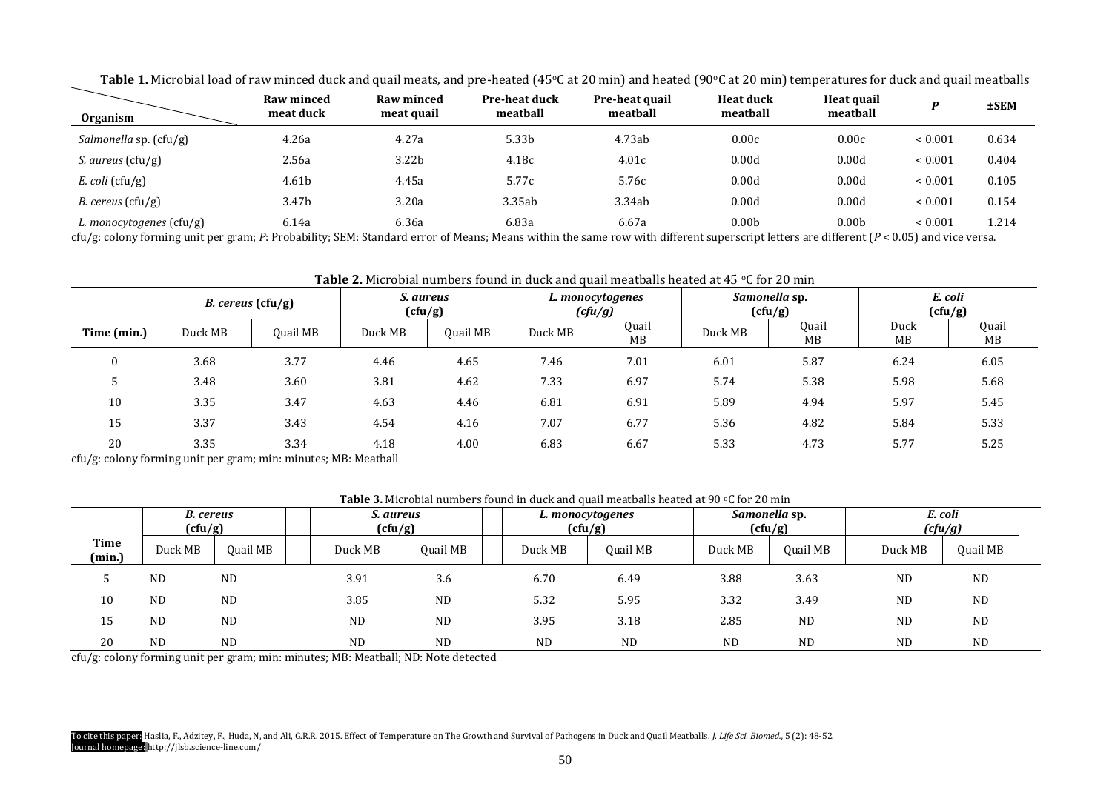| <b>Organism</b>                              | Raw minced<br>meat duck | Raw minced<br>meat quail | <b>Pre-heat duck</b><br>meatball | Pre-heat quail<br>meatball | <b>Heat duck</b><br>meatball | Heat quail<br>meatball |              | <b>±SEM</b> |
|----------------------------------------------|-------------------------|--------------------------|----------------------------------|----------------------------|------------------------------|------------------------|--------------|-------------|
| <i>Salmonella sp.</i> $(cfu/g)$              | 4.26a                   | 4.27a                    | 5.33b                            | 4.73ab                     | 0.00c                        | 0.00c                  | ${}_{0.001}$ | 0.634       |
| <i>S. aureus</i> (cfu/g)                     | 2.56a                   | 3.22 <sub>b</sub>        | 4.18c                            | 4.01c                      | 0.00d                        | 0.00d                  | ${}< 0.001$  | 0.404       |
| $E.$ coli (cfu/g)                            | 4.61b                   | 4.45a                    | 5.77c                            | 5.76c                      | 0.00d                        | 0.00d                  | ${}_{0.001}$ | 0.105       |
| <i>B. cereus</i> $(ctu/g)$                   | 3.47b                   | 3.20a                    | 3.35ab                           | 3.34ab                     | 0.00d                        | 0.00d                  | ${}_{0.001}$ | 0.154       |
| L. monocytogenes $\left(\frac{cu}{g}\right)$ | 6.14a                   | 6.36a                    | 6.83a                            | 6.67a                      | 0.00 <sub>b</sub>            | 0.00 <sub>b</sub>      | ${}_{0.001}$ | 1.214       |

Table 1. Microbial load of raw minced duck and quail meats, and pre-heated (45°C at 20 min) and heated (90°C at 20 min) temperatures for duck and quail meatballs

cfu/g: colony forming unit per gram; *P*: Probability; SEM: Standard error of Means; Means within the same row with different superscript letters are different (*P* < 0.05) and vice versa.

# Table 2. Microbial numbers found in duck and quail meatballs heated at 45 °C for 20 min

|             | <i>B.</i> cereus $(ctu/g)$ |          | S. aureus<br>(cfu/g) |          | L. monocytogenes<br>(cfu/g) |                    | Samonella sp.<br>(cfu/g) |             | E. coli<br>(cfu/g) |             |
|-------------|----------------------------|----------|----------------------|----------|-----------------------------|--------------------|--------------------------|-------------|--------------------|-------------|
| Time (min.) | Duck MB                    | Quail MB | Duck MB              | Quail MB | Duck MB                     | Quail<br><b>MB</b> | Duck MB                  | Quail<br>MB | Duck<br>MB         | Quail<br>MB |
|             | 3.68                       | 3.77     | 4.46                 | 4.65     | 7.46                        | 7.01               | 6.01                     | 5.87        | 6.24               | 6.05        |
|             | 3.48                       | 3.60     | 3.81                 | 4.62     | 7.33                        | 6.97               | 5.74                     | 5.38        | 5.98               | 5.68        |
| 10          | 3.35                       | 3.47     | 4.63                 | 4.46     | 6.81                        | 6.91               | 5.89                     | 4.94        | 5.97               | 5.45        |
| 15          | 3.37                       | 3.43     | 4.54                 | 4.16     | 7.07                        | 6.77               | 5.36                     | 4.82        | 5.84               | 5.33        |
| 20          | 3.35                       | 3.34     | 4.18                 | 4.00     | 6.83                        | 6.67               | 5.33                     | 4.73        | 5.77               | 5.25        |

cfu/g: colony forming unit per gram; min: minutes; MB: Meatball

# **Table 3.** Microbial numbers found in duck and quail meatballs heated at 90 °C for 20 min

|                       | B. cereus<br>(cfu/g) |           | S. aureus<br>(cfu/g) |           | L. monocytogenes<br>(cfu/g) |           | Samonella sp.<br>(cfu/g) |           |  | E. coli<br>(cfu/g) |                 |
|-----------------------|----------------------|-----------|----------------------|-----------|-----------------------------|-----------|--------------------------|-----------|--|--------------------|-----------------|
| <b>Time</b><br>(min.) | Duck MB              | Quail MB  | Duck MB              | Quail MB  | Duck MB                     | Quail MB  | Duck MB                  | Quail MB  |  | Duck MB            | <b>Ouail MB</b> |
|                       | <b>ND</b>            | <b>ND</b> | 3.91                 | 3.6       | 6.70                        | 6.49      | 3.88                     | 3.63      |  | <b>ND</b>          | <b>ND</b>       |
| 10                    | <b>ND</b>            | <b>ND</b> | 3.85                 | <b>ND</b> | 5.32                        | 5.95      | 3.32                     | 3.49      |  | <b>ND</b>          | <b>ND</b>       |
| 15                    | <b>ND</b>            | <b>ND</b> | <b>ND</b>            | <b>ND</b> | 3.95                        | 3.18      | 2.85                     | <b>ND</b> |  | <b>ND</b>          | <b>ND</b>       |
| 20                    | <b>ND</b>            | <b>ND</b> | <b>ND</b>            | <b>ND</b> | <b>ND</b>                   | <b>ND</b> | <b>ND</b>                | <b>ND</b> |  | <b>ND</b>          | <b>ND</b>       |

cfu/g: colony forming unit per gram; min: minutes; MB: Meatball; ND: Note detected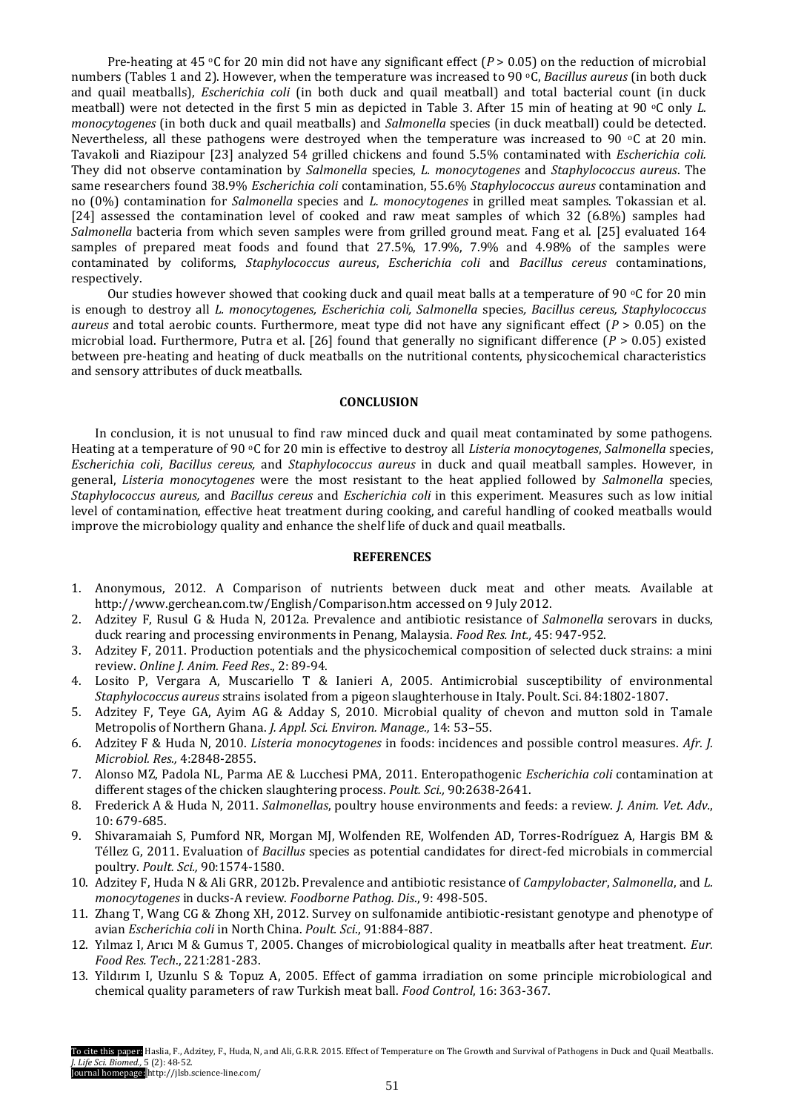Pre-heating at 45 °C for 20 min did not have any significant effect (*P* > 0.05) on the reduction of microbial numbers (Tables 1 and 2). However, when the temperature was increased to 90 °C, *Bacillus aureus* (in both duck and quail meatballs), *Escherichia coli* (in both duck and quail meatball) and total bacterial count (in duck meatball) were not detected in the first 5 min as depicted in Table 3. After 15 min of heating at 90 °C only *L*. *monocytogenes* (in both duck and quail meatballs) and *Salmonella* species (in duck meatball) could be detected. Nevertheless, all these pathogens were destroyed when the temperature was increased to 90  $\degree$ C at 20 min. Tavakoli and Riazipour [23] analyzed 54 grilled chickens and found 5.5% contaminated with *Escherichia coli.* They did not observe contamination by *Salmonella* species, *L. monocytogenes* and *Staphylococcus aureus*. The same researchers found 38.9% *Escherichia coli* contamination, 55.6% *Staphylococcus aureus* contamination and no (0%) contamination for *Salmonella* species and *L. monocytogenes* in grilled meat samples. Tokassian et al. [24] assessed the contamination level of cooked and raw meat samples of which 32 (6.8%) samples had *Salmonella* bacteria from which seven samples were from grilled ground meat. Fang et al. [25] evaluated 164 samples of prepared meat foods and found that 27.5%, 17.9%, 7.9% and 4.98% of the samples were contaminated by coliforms, *Staphylococcus aureus*, *Escherichia coli* and *Bacillus cereus* contaminations, respectively.

Our studies however showed that cooking duck and quail meat balls at a temperature of 90  $\degree$ C for 20 min is enough to destroy all *L. monocytogenes, Escherichia coli, Salmonella* species*, Bacillus cereus, Staphylococcus aureus* and total aerobic counts. Furthermore, meat type did not have any significant effect (*P* > 0.05) on the microbial load. Furthermore, Putra et al. [26] found that generally no significant difference (*P* > 0.05) existed between pre-heating and heating of duck meatballs on the nutritional contents, physicochemical characteristics and sensory attributes of duck meatballs.

#### **CONCLUSION**

In conclusion, it is not unusual to find raw minced duck and quail meat contaminated by some pathogens. Heating at a temperature of 90 oC for 20 min is effective to destroy all *Listeria monocytogenes*, *Salmonella* species, *Escherichia coli*, *Bacillus cereus,* and *Staphylococcus aureus* in duck and quail meatball samples. However, in general, *Listeria monocytogenes* were the most resistant to the heat applied followed by *Salmonella* species, *Staphylococcus aureus,* and *Bacillus cereus* and *Escherichia coli* in this experiment. Measures such as low initial level of contamination, effective heat treatment during cooking, and careful handling of cooked meatballs would improve the microbiology quality and enhance the shelf life of duck and quail meatballs.

## **REFERENCES**

- 1. Anonymous, 2012. A Comparison of nutrients between duck meat and other meats. Available at <http://www.gerchean.com.tw/English/Comparison.htm> accessed on 9 July 2012.
- 2. Adzitey F, Rusul G & Huda N, 2012a. Prevalence and antibiotic resistance of *Salmonella* serovars in ducks, duck rearing and processing environments in Penang, Malaysia. *Food Res. Int.,* 45: 947-952.
- 3. Adzitey F, 2011. Production potentials and the physicochemical composition of selected duck strains: a mini review. *Online J. Anim. Feed Res*., 2: 89-94.
- 4. Losito P, Vergara A, Muscariello T & Ianieri A, 2005. Antimicrobial susceptibility of environmental *Staphylococcus aureus* strains isolated from a pigeon slaughterhouse in Italy. Poult. Sci. 84:1802-1807.
- 5. Adzitey F, Teye GA, Ayim AG & Adday S, 2010. Microbial quality of chevon and mutton sold in Tamale Metropolis of Northern Ghana. *J. Appl. Sci. Environ. Manage.,* 14: 53–55.
- 6. Adzitey F & Huda N, 2010. *Listeria monocytogenes* in foods: incidences and possible control measures. *Afr. J. Microbiol. Res.,* 4:2848-2855.
- 7. Alonso MZ, Padola NL, Parma AE & Lucchesi PMA, 2011. Enteropathogenic *Escherichia coli* contamination at different stages of the chicken slaughtering process. *Poult. Sci.,* 90:2638-2641.
- 8. Frederick A & Huda N, 2011. *Salmonellas*, poultry house environments and feeds: a review. *J. Anim. Vet. Adv.*, 10: 679-685.
- 9. Shivaramaiah S, Pumford NR, Morgan MJ, Wolfenden RE, Wolfenden AD, Torres-Rodríguez A, Hargis BM & Téllez G, 2011. Evaluation of *Bacillus* species as potential candidates for direct-fed microbials in commercial poultry. *Poult. Sci.,* 90:1574-1580.
- 10. Adzitey F, Huda N & Ali GRR, 2012b. Prevalence and antibiotic resistance of *Campylobacter*, *Salmonella*, and *L. monocytogenes* in ducks-A review. *Foodborne Pathog. Dis*., 9: 498-505.
- 11. Zhang T, Wang CG & Zhong XH, 2012. Survey on sulfonamide antibiotic-resistant genotype and phenotype of avian *Escherichia coli* in North China. *Poult. Sci*., 91:884-887.
- 12. Yılmaz I, Arıcı M & Gumus T, 2005. Changes of microbiological quality in meatballs after heat treatment. *Eur. Food Res. Tech*., 221:281-283.
- 13. Yildırım I, Uzunlu S & Topuz A, 2005. Effect of gamma irradiation on some principle microbiological and chemical quality parameters of raw Turkish meat ball. *Food Control*, 16: 363-367.